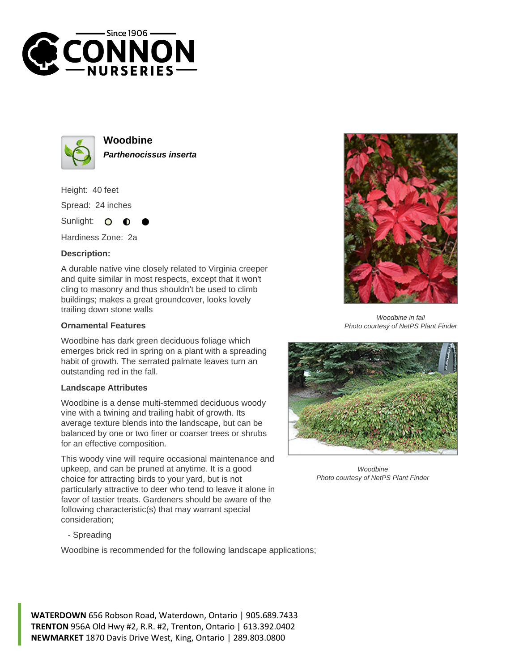



**Woodbine Parthenocissus inserta**

Height: 40 feet Spread: 24 inches

Sunlight:  $\bullet$ 

Hardiness Zone: 2a

## **Description:**

A durable native vine closely related to Virginia creeper and quite similar in most respects, except that it won't cling to masonry and thus shouldn't be used to climb buildings; makes a great groundcover, looks lovely trailing down stone walls

## **Ornamental Features**

Woodbine has dark green deciduous foliage which emerges brick red in spring on a plant with a spreading habit of growth. The serrated palmate leaves turn an outstanding red in the fall.

## **Landscape Attributes**

Woodbine is a dense multi-stemmed deciduous woody vine with a twining and trailing habit of growth. Its average texture blends into the landscape, but can be balanced by one or two finer or coarser trees or shrubs for an effective composition.

This woody vine will require occasional maintenance and upkeep, and can be pruned at anytime. It is a good choice for attracting birds to your yard, but is not particularly attractive to deer who tend to leave it alone in favor of tastier treats. Gardeners should be aware of the following characteristic(s) that may warrant special consideration;

- Spreading

Woodbine is recommended for the following landscape applications;



Woodbine in fall Photo courtesy of NetPS Plant Finder



Woodbine Photo courtesy of NetPS Plant Finder

**WATERDOWN** 656 Robson Road, Waterdown, Ontario | 905.689.7433 **TRENTON** 956A Old Hwy #2, R.R. #2, Trenton, Ontario | 613.392.0402 **NEWMARKET** 1870 Davis Drive West, King, Ontario | 289.803.0800